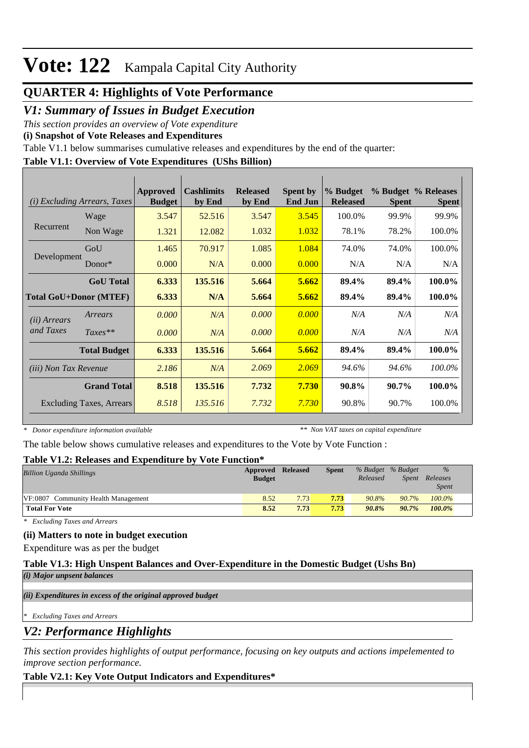### **QUARTER 4: Highlights of Vote Performance**

### *V1: Summary of Issues in Budget Execution*

*This section provides an overview of Vote expenditure* 

**(i) Snapshot of Vote Releases and Expenditures**

Table V1.1 below summarises cumulative releases and expenditures by the end of the quarter:

#### **Table V1.1: Overview of Vote Expenditures (UShs Billion)**

| (i)                           | <b>Excluding Arrears, Taxes</b> | Approved<br><b>Budget</b> | <b>Cashlimits</b><br>by End | <b>Released</b><br>by End | <b>Spent by</b><br><b>End Jun</b> | % Budget<br><b>Released</b> | <b>Spent</b> | % Budget % Releases<br><b>Spent</b> |
|-------------------------------|---------------------------------|---------------------------|-----------------------------|---------------------------|-----------------------------------|-----------------------------|--------------|-------------------------------------|
|                               | Wage                            | 3.547                     | 52.516                      | 3.547                     | 3.545                             | 100.0%                      | 99.9%        | 99.9%                               |
| Recurrent                     | Non Wage                        | 1.321                     | 12.082                      | 1.032                     | 1.032                             | 78.1%                       | 78.2%        | 100.0%                              |
|                               | GoU                             | 1.465                     | 70.917                      | 1.085                     | 1.084                             | 74.0%                       | 74.0%        | 100.0%                              |
| Development                   | Donor $*$                       | 0.000                     | N/A                         | 0.000                     | 0.000                             | N/A                         | N/A          | N/A                                 |
|                               | <b>GoU</b> Total                | 6.333                     | 135.516                     | 5.664                     | 5.662                             | 89.4%                       | 89.4%        | 100.0%                              |
| <b>Total GoU+Donor (MTEF)</b> |                                 | 6.333                     | N/A                         | 5.664                     | 5.662                             | 89.4%                       | 89.4%        | 100.0%                              |
| ( <i>ii</i> ) Arrears         | Arrears                         | 0.000                     | N/A                         | 0.000                     | 0.000                             | N/A                         | N/A          | N/A                                 |
| and Taxes                     | $Taxes**$                       | 0.000                     | N/A                         | 0.000                     | 0.000                             | N/A                         | N/A          | N/A                                 |
|                               | <b>Total Budget</b>             | 6.333                     | 135.516                     | 5.664                     | 5.662                             | 89.4%                       | 89.4%        | 100.0%                              |
| <i>(iii)</i> Non Tax Revenue  |                                 | 2.186                     | N/A                         | 2.069                     | 2.069                             | 94.6%                       | 94.6%        | 100.0%                              |
|                               | <b>Grand Total</b>              | 8.518                     | 135.516                     | 7.732                     | 7.730                             | 90.8%                       | 90.7%        | 100.0%                              |
|                               | <b>Excluding Taxes, Arrears</b> | 8.518                     | 135.516                     | 7.732                     | 7.730                             | 90.8%                       | 90.7%        | 100.0%                              |

*\* Donor expenditure information available*

*\*\* Non VAT taxes on capital expenditure*

The table below shows cumulative releases and expenditures to the Vote by Vote Function :

#### **Table V1.2: Releases and Expenditure by Vote Function\***

| <b>Billion Uganda Shillings</b>     | Approved      | <b>Released</b> | <b>Spent</b> |          | % Budget % Budget | $\%$         |  |
|-------------------------------------|---------------|-----------------|--------------|----------|-------------------|--------------|--|
|                                     | <b>Budget</b> |                 |              | Released | Spent             | Releases     |  |
|                                     |               |                 |              |          |                   | <i>Spent</i> |  |
| VF:0807 Community Health Management | 8.52          | 7.73            | 7.73         | 90.8%    | $90.7\%$          | $100.0\%$    |  |
| <b>Total For Vote</b>               | 8.52          | 7.73            | 7.73         | 90.8%    | $90.7\%$          | 100.0%       |  |

*\* Excluding Taxes and Arrears*

#### **(ii) Matters to note in budget execution**

Expenditure was as per the budget

**Table V1.3: High Unspent Balances and Over-Expenditure in the Domestic Budget (Ushs Bn)**

*(i) Major unpsent balances*

*(ii) Expenditures in excess of the original approved budget*

*\* Excluding Taxes and Arrears*

*V2: Performance Highlights*

*This section provides highlights of output performance, focusing on key outputs and actions impelemented to improve section performance.*

#### **Table V2.1: Key Vote Output Indicators and Expenditures\***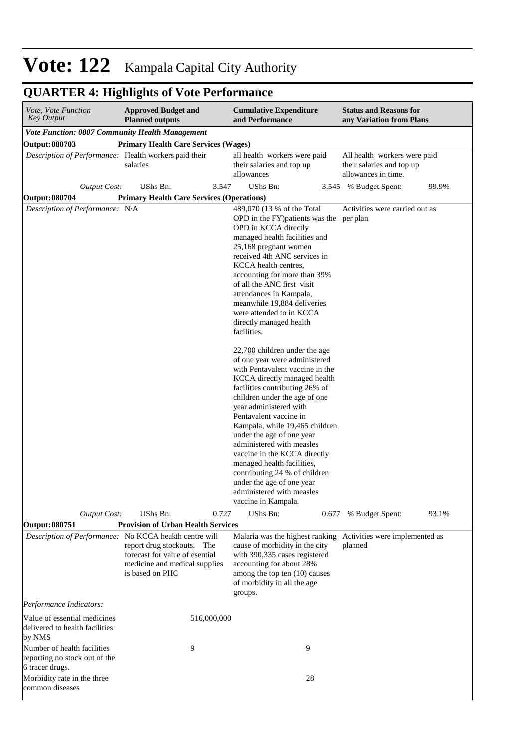## **QUARTER 4: Highlights of Vote Performance**

| <i>Vote, Vote Function</i><br>Key Output                                        | <b>Approved Budget and</b><br><b>Cumulative Expenditure</b><br><b>Planned outputs</b><br>and Performance         |                                                                         |                                                                                                                                                                                                                                                                                                                                                                                                                                                                                                                                      |                                                                                  | <b>Status and Reasons for</b><br>any Variation from Plans |       |
|---------------------------------------------------------------------------------|------------------------------------------------------------------------------------------------------------------|-------------------------------------------------------------------------|--------------------------------------------------------------------------------------------------------------------------------------------------------------------------------------------------------------------------------------------------------------------------------------------------------------------------------------------------------------------------------------------------------------------------------------------------------------------------------------------------------------------------------------|----------------------------------------------------------------------------------|-----------------------------------------------------------|-------|
| Vote Function: 0807 Community Health Management                                 |                                                                                                                  |                                                                         |                                                                                                                                                                                                                                                                                                                                                                                                                                                                                                                                      |                                                                                  |                                                           |       |
| <b>Output: 080703</b>                                                           | <b>Primary Health Care Services (Wages)</b>                                                                      |                                                                         |                                                                                                                                                                                                                                                                                                                                                                                                                                                                                                                                      |                                                                                  |                                                           |       |
| Description of Performance: Health workers paid their                           | salaries                                                                                                         | all health workers were paid<br>their salaries and top up<br>allowances |                                                                                                                                                                                                                                                                                                                                                                                                                                                                                                                                      | All health workers were paid<br>their salaries and top up<br>allowances in time. |                                                           |       |
| <b>Output Cost:</b>                                                             | UShs Bn:                                                                                                         | 3.547                                                                   | UShs Bn:                                                                                                                                                                                                                                                                                                                                                                                                                                                                                                                             |                                                                                  | 3.545 % Budget Spent:                                     | 99.9% |
| <b>Output: 080704</b>                                                           | <b>Primary Health Care Services (Operations)</b>                                                                 |                                                                         |                                                                                                                                                                                                                                                                                                                                                                                                                                                                                                                                      |                                                                                  |                                                           |       |
| Description of Performance: N\A                                                 |                                                                                                                  |                                                                         | 489,070 (13 % of the Total<br>OPD in the FY) patients was the per plan<br>OPD in KCCA directly<br>managed health facilities and<br>25,168 pregnant women<br>received 4th ANC services in<br>KCCA health centres,<br>accounting for more than 39%<br>of all the ANC first visit<br>attendances in Kampala,<br>meanwhile 19,884 deliveries<br>were attended to in KCCA<br>directly managed health<br>facilities.                                                                                                                       |                                                                                  | Activities were carried out as                            |       |
|                                                                                 |                                                                                                                  |                                                                         | 22,700 children under the age<br>of one year were administered<br>with Pentavalent vaccine in the<br>KCCA directly managed health<br>facilities contributing 26% of<br>children under the age of one<br>year administered with<br>Pentavalent vaccine in<br>Kampala, while 19,465 children<br>under the age of one year<br>administered with measles<br>vaccine in the KCCA directly<br>managed health facilities,<br>contributing 24 % of children<br>under the age of one year<br>administered with measles<br>vaccine in Kampala. |                                                                                  |                                                           |       |
| <b>Output Cost:</b>                                                             | UShs Bn:                                                                                                         | 0.727                                                                   | UShs Bn:                                                                                                                                                                                                                                                                                                                                                                                                                                                                                                                             | 0.677                                                                            | % Budget Spent:                                           | 93.1% |
| <b>Output: 080751</b>                                                           | <b>Provision of Urban Health Services</b>                                                                        |                                                                         |                                                                                                                                                                                                                                                                                                                                                                                                                                                                                                                                      |                                                                                  |                                                           |       |
| Description of Performance: No KCCA heakth centre will                          | report drug stockouts. The<br>forecast for value of esential<br>medicine and medical supplies<br>is based on PHC |                                                                         | Malaria was the highest ranking Activities were implemented as<br>cause of morbidity in the city<br>with 390,335 cases registered<br>accounting for about 28%<br>among the top ten (10) causes<br>of morbidity in all the age<br>groups.                                                                                                                                                                                                                                                                                             |                                                                                  | planned                                                   |       |
| Performance Indicators:                                                         |                                                                                                                  |                                                                         |                                                                                                                                                                                                                                                                                                                                                                                                                                                                                                                                      |                                                                                  |                                                           |       |
| Value of essential medicines<br>delivered to health facilities<br>by NMS        |                                                                                                                  | 516,000,000                                                             |                                                                                                                                                                                                                                                                                                                                                                                                                                                                                                                                      |                                                                                  |                                                           |       |
| Number of health facilities<br>reporting no stock out of the<br>6 tracer drugs. | 9                                                                                                                |                                                                         | 9                                                                                                                                                                                                                                                                                                                                                                                                                                                                                                                                    |                                                                                  |                                                           |       |
| Morbidity rate in the three<br>common diseases                                  |                                                                                                                  |                                                                         | 28                                                                                                                                                                                                                                                                                                                                                                                                                                                                                                                                   |                                                                                  |                                                           |       |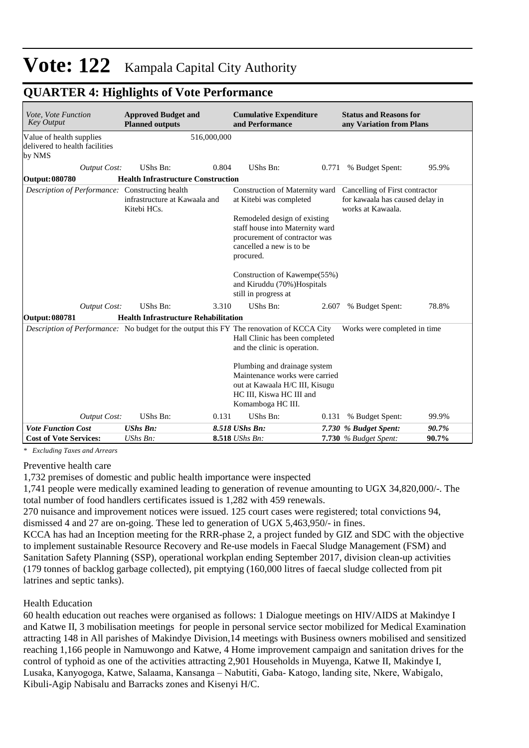| Vote, Vote Function<br><b>Key Output</b>                                                 | <b>Approved Budget and</b><br><b>Planned outputs</b> |             | <b>Cumulative Expenditure</b><br>and Performance                                                                                                                                                                                                                                             |       | <b>Status and Reasons for</b><br>any Variation from Plans                              |                |
|------------------------------------------------------------------------------------------|------------------------------------------------------|-------------|----------------------------------------------------------------------------------------------------------------------------------------------------------------------------------------------------------------------------------------------------------------------------------------------|-------|----------------------------------------------------------------------------------------|----------------|
| Value of health supplies<br>delivered to health facilities<br>by NMS                     |                                                      | 516,000,000 |                                                                                                                                                                                                                                                                                              |       |                                                                                        |                |
| <b>Output Cost:</b>                                                                      | UShs Bn:                                             | 0.804       | UShs Bn:                                                                                                                                                                                                                                                                                     | 0.771 | % Budget Spent:                                                                        | 95.9%          |
| <b>Output: 080780</b>                                                                    | <b>Health Infrastructure Construction</b>            |             |                                                                                                                                                                                                                                                                                              |       |                                                                                        |                |
| Description of Performance: Constructing health                                          | infrastructure at Kawaala and<br>Kitebi HCs.         |             | Construction of Maternity ward<br>at Kitebi was completed<br>Remodeled design of existing<br>staff house into Maternity ward<br>procurement of contractor was<br>cancelled a new is to be<br>procured.<br>Construction of Kawempe(55%)<br>and Kiruddu (70%)Hospitals<br>still in progress at |       | Cancelling of First contractor<br>for kawaala has caused delay in<br>works at Kawaala. |                |
| <b>Output Cost:</b>                                                                      | UShs Bn:                                             | 3.310       | UShs Bn:                                                                                                                                                                                                                                                                                     | 2.607 | % Budget Spent:                                                                        | 78.8%          |
| <b>Output: 080781</b>                                                                    | <b>Health Infrastructure Rehabilitation</b>          |             |                                                                                                                                                                                                                                                                                              |       |                                                                                        |                |
| Description of Performance: No budget for the output this FY The renovation of KCCA City |                                                      |             | Hall Clinic has been completed<br>and the clinic is operation.<br>Plumbing and drainage system<br>Maintenance works were carried<br>out at Kawaala H/C III, Kisugu<br>HC III, Kiswa HC III and<br>Komamboga HC III.                                                                          |       | Works were completed in time                                                           |                |
| <b>Output Cost:</b>                                                                      | UShs Bn:                                             | 0.131       | UShs Bn:                                                                                                                                                                                                                                                                                     | 0.131 | % Budget Spent:                                                                        | 99.9%          |
| <b>Vote Function Cost</b><br><b>Cost of Vote Services:</b>                               | <b>UShs Bn:</b><br>UShs Bn:                          |             | 8.518 UShs Bn:<br>8.518 UShs Bn:                                                                                                                                                                                                                                                             |       | 7.730 % Budget Spent:                                                                  | 90.7%<br>90.7% |
|                                                                                          |                                                      |             |                                                                                                                                                                                                                                                                                              |       | 7.730 % Budget Spent:                                                                  |                |

### **QUARTER 4: Highlights of Vote Performance**

*\* Excluding Taxes and Arrears*

Preventive health care

1,732 premises of domestic and public health importance were inspected

1,741 people were medically examined leading to generation of revenue amounting to UGX 34,820,000/-. The total number of food handlers certificates issued is 1,282 with 459 renewals.

270 nuisance and improvement notices were issued. 125 court cases were registered; total convictions 94, dismissed 4 and 27 are on-going. These led to generation of UGX 5,463,950/- in fines.

KCCA has had an Inception meeting for the RRR-phase 2, a project funded by GIZ and SDC with the objective to implement sustainable Resource Recovery and Re-use models in Faecal Sludge Management (FSM) and Sanitation Safety Planning (SSP), operational workplan ending September 2017, division clean-up activities (179 tonnes of backlog garbage collected), pit emptying (160,000 litres of faecal sludge collected from pit latrines and septic tanks).

#### Health Education

60 health education out reaches were organised as follows: 1 Dialogue meetings on HIV/AIDS at Makindye I and Katwe II, 3 mobilisation meetings for people in personal service sector mobilized for Medical Examination attracting 148 in All parishes of Makindye Division,14 meetings with Business owners mobilised and sensitized reaching 1,166 people in Namuwongo and Katwe, 4 Home improvement campaign and sanitation drives for the control of typhoid as one of the activities attracting 2,901 Households in Muyenga, Katwe II, Makindye I, Lusaka, Kanyogoga, Katwe, Salaama, Kansanga – Nabutiti, Gaba- Katogo, landing site, Nkere, Wabigalo, Kibuli-Agip Nabisalu and Barracks zones and Kisenyi H/C.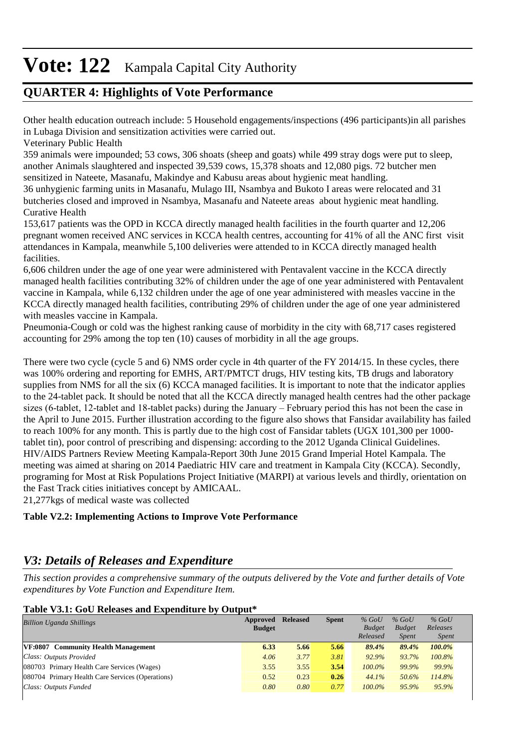### **QUARTER 4: Highlights of Vote Performance**

Other health education outreach include: 5 Household engagements/inspections (496 participants)in all parishes in Lubaga Division and sensitization activities were carried out.

Veterinary Public Health

359 animals were impounded; 53 cows, 306 shoats (sheep and goats) while 499 stray dogs were put to sleep, another Animals slaughtered and inspected 39,539 cows, 15,378 shoats and 12,080 pigs. 72 butcher men sensitized in Nateete, Masanafu, Makindye and Kabusu areas about hygienic meat handling.

36 unhygienic farming units in Masanafu, Mulago III, Nsambya and Bukoto I areas were relocated and 31 butcheries closed and improved in Nsambya, Masanafu and Nateete areas about hygienic meat handling. Curative Health

153,617 patients was the OPD in KCCA directly managed health facilities in the fourth quarter and 12,206 pregnant women received ANC services in KCCA health centres, accounting for 41% of all the ANC first visit attendances in Kampala, meanwhile 5,100 deliveries were attended to in KCCA directly managed health facilities.

6,606 children under the age of one year were administered with Pentavalent vaccine in the KCCA directly managed health facilities contributing 32% of children under the age of one year administered with Pentavalent vaccine in Kampala, while 6,132 children under the age of one year administered with measles vaccine in the KCCA directly managed health facilities, contributing 29% of children under the age of one year administered with measles vaccine in Kampala.

Pneumonia-Cough or cold was the highest ranking cause of morbidity in the city with 68,717 cases registered accounting for 29% among the top ten (10) causes of morbidity in all the age groups.

There were two cycle (cycle 5 and 6) NMS order cycle in 4th quarter of the FY 2014/15. In these cycles, there was 100% ordering and reporting for EMHS, ART/PMTCT drugs, HIV testing kits, TB drugs and laboratory supplies from NMS for all the six (6) KCCA managed facilities. It is important to note that the indicator applies to the 24-tablet pack. It should be noted that all the KCCA directly managed health centres had the other package sizes (6-tablet, 12-tablet and 18-tablet packs) during the January – February period this has not been the case in the April to June 2015. Further illustration according to the figure also shows that Fansidar availability has failed to reach 100% for any month. This is partly due to the high cost of Fansidar tablets (UGX 101,300 per 1000 tablet tin), poor control of prescribing and dispensing: according to the 2012 Uganda Clinical Guidelines. HIV/AIDS Partners Review Meeting Kampala-Report 30th June 2015 Grand Imperial Hotel Kampala. The meeting was aimed at sharing on 2014 Paediatric HIV care and treatment in Kampala City (KCCA). Secondly, programing for Most at Risk Populations Project Initiative (MARPI) at various levels and thirdly, orientation on the Fast Track cities initiatives concept by AMICAAL.

21,277kgs of medical waste was collected

#### **Table V2.2: Implementing Actions to Improve Vote Performance**

### *V3: Details of Releases and Expenditure*

*This section provides a comprehensive summary of the outputs delivered by the Vote and further details of Vote expenditures by Vote Function and Expenditure Item.*

#### **Table V3.1: GoU Releases and Expenditure by Output\***

| Approved | <b>Released</b>       | <b>Spent</b> | $%$ GoU      | $%$ GoU                            | $%$ GoU                                |
|----------|-----------------------|--------------|--------------|------------------------------------|----------------------------------------|
|          |                       |              |              |                                    | Releases                               |
|          |                       |              |              |                                    | <i>Spent</i>                           |
|          |                       |              |              |                                    | $100.0\%$                              |
| 4.06     | 3.77                  | 3.81         | 92.9%        | 93.7%                              | 100.8%                                 |
| 3.55     | 3.55                  | 3.54         | $100.0\%$    | 99.9%                              | 99.9%                                  |
| 0.52     | 0.23                  | 0.26         | 44.1%        | 50.6%                              | 114.8%                                 |
| 0.80     | 0.80                  | 0.77         | $100.0\%$    | 95.9%                              | 95.9%                                  |
|          | <b>Budget</b><br>6.33 |              | 5.66<br>5.66 | <b>Budget</b><br>Released<br>89.4% | <b>Budget</b><br><i>Spent</i><br>89.4% |